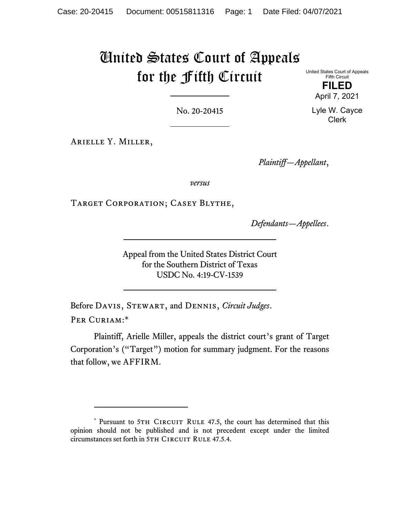# United States Court of Appeals for the Fifth Circuit

United States Court of Appeals Fifth Circuit

> **FILED**  April 7, 2021

No. 20-20415

Arielle Y. Miller,

*Plaintiff—Appellant*,

*versus*

Target Corporation; Casey Blythe,

*Defendants—Appellees*.

Appeal from the United States District Court for the Southern District of Texas USDC No. 4:19-CV-1539

Before Davis, Stewart, and Dennis, *Circuit Judges*. PER CURIAM:\*

Plaintiff, Arielle Miller, appeals the district court's grant of Target Corporation's ("Target") motion for summary judgment. For the reasons that follow, we AFFIRM.

Lyle W. Cayce Clerk

<sup>\*</sup> Pursuant to 5TH CIRCUIT RULE 47.5, the court has determined that this opinion should not be published and is not precedent except under the limited circumstances set forth in 5TH CIRCUIT RULE 47.5.4.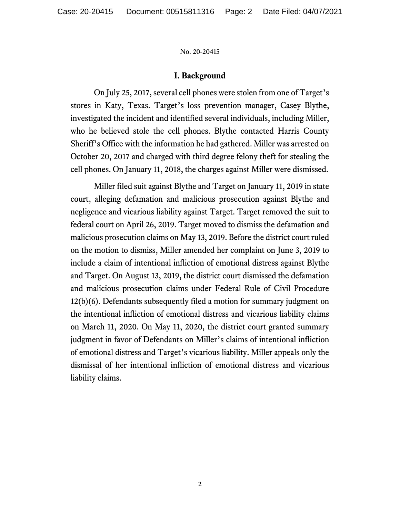## **I. Background**

On July 25, 2017, several cell phones were stolen from one of Target's stores in Katy, Texas. Target's loss prevention manager, Casey Blythe, investigated the incident and identified several individuals, including Miller, who he believed stole the cell phones. Blythe contacted Harris County Sheriff's Office with the information he had gathered. Miller was arrested on October 20, 2017 and charged with third degree felony theft for stealing the cell phones. On January 11, 2018, the charges against Miller were dismissed.

Miller filed suit against Blythe and Target on January 11, 2019 in state court, alleging defamation and malicious prosecution against Blythe and negligence and vicarious liability against Target. Target removed the suit to federal court on April 26, 2019. Target moved to dismiss the defamation and malicious prosecution claims on May 13, 2019. Before the district court ruled on the motion to dismiss, Miller amended her complaint on June 3, 2019 to include a claim of intentional infliction of emotional distress against Blythe and Target. On August 13, 2019, the district court dismissed the defamation and malicious prosecution claims under Federal Rule of Civil Procedure 12(b)(6). Defendants subsequently filed a motion for summary judgment on the intentional infliction of emotional distress and vicarious liability claims on March 11, 2020. On May 11, 2020, the district court granted summary judgment in favor of Defendants on Miller's claims of intentional infliction of emotional distress and Target's vicarious liability. Miller appeals only the dismissal of her intentional infliction of emotional distress and vicarious liability claims.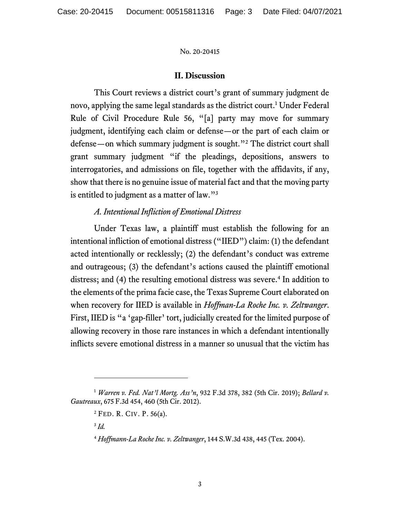## **II. Discussion**

This Court reviews a district court's grant of summary judgment de novo, applying the same legal standards as the district court.<sup>1</sup> Under Federal Rule of Civil Procedure Rule 56, "[a] party may move for summary judgment, identifying each claim or defense—or the part of each claim or defense—on which summary judgment is sought."2 The district court shall grant summary judgment "if the pleadings, depositions, answers to interrogatories, and admissions on file, together with the affidavits, if any, show that there is no genuine issue of material fact and that the moving party is entitled to judgment as a matter of law."3

## *A. Intentional Infliction of Emotional Distress*

Under Texas law, a plaintiff must establish the following for an intentional infliction of emotional distress ("IIED") claim: (1) the defendant acted intentionally or recklessly; (2) the defendant's conduct was extreme and outrageous; (3) the defendant's actions caused the plaintiff emotional distress; and (4) the resulting emotional distress was severe.<sup>4</sup> In addition to the elements of the prima facie case, the Texas Supreme Court elaborated on when recovery for IIED is available in *Hoffman-La Roche Inc. v. Zeltwanger*. First, IIED is "a 'gap-filler' tort, judicially created for the limited purpose of allowing recovery in those rare instances in which a defendant intentionally inflicts severe emotional distress in a manner so unusual that the victim has

<sup>1</sup> *Warren v. Fed. Nat'l Mortg. Ass'n*, 932 F.3d 378, 382 (5th Cir. 2019); *Bellard v. Gautreaux*, 675 F.3d 454, 460 (5th Cir. 2012).

 $2$  FED. R. CIV. P. 56(a).

<sup>3</sup> *Id.*

<sup>4</sup> *Hoffmann-La Roche Inc. v. Zeltwanger*, 144 S.W.3d 438, 445 (Tex. 2004).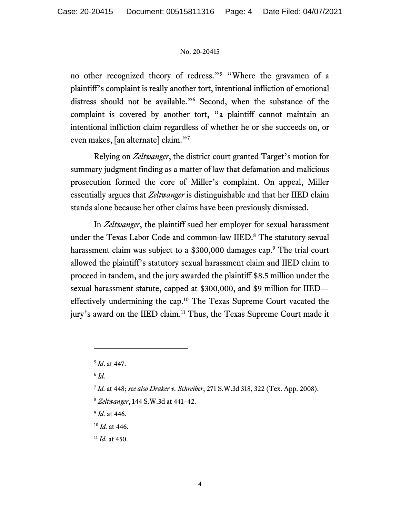no other recognized theory of redress."<sup>5</sup> "Where the gravamen of a plaintiff's complaint is really another tort, intentional infliction of emotional distress should not be available."6 Second, when the substance of the complaint is covered by another tort, "a plaintiff cannot maintain an intentional infliction claim regardless of whether he or she succeeds on, or even makes, [an alternate] claim."7

Relying on *Zeltwanger*, the district court granted Target's motion for summary judgment finding as a matter of law that defamation and malicious prosecution formed the core of Miller's complaint. On appeal, Miller essentially argues that *Zeltwanger* is distinguishable and that her IIED claim stands alone because her other claims have been previously dismissed.

In *Zeltwanger*, the plaintiff sued her employer for sexual harassment under the Texas Labor Code and common-law IIED.<sup>8</sup> The statutory sexual harassment claim was subject to a \$300,000 damages cap.<sup>9</sup> The trial court allowed the plaintiff's statutory sexual harassment claim and IIED claim to proceed in tandem, and the jury awarded the plaintiff \$8.5 million under the sexual harassment statute, capped at \$300,000, and \$9 million for IIED effectively undermining the cap.10 The Texas Supreme Court vacated the jury's award on the IIED claim.<sup>11</sup> Thus, the Texas Supreme Court made it

<sup>9</sup> *Id.* at 446.

<sup>10</sup> *Id.* at 446.

<sup>11</sup> *Id.* at 450.

<sup>5</sup> *Id*. at 447.

 $6$   $Id$ .

<sup>7</sup> *Id.* at 448; *see also Draker v. Schreiber*, 271 S.W.3d 318, 322 (Tex. App. 2008).

<sup>8</sup> *Zeltwanger*, 144 S.W.3d at 441–42.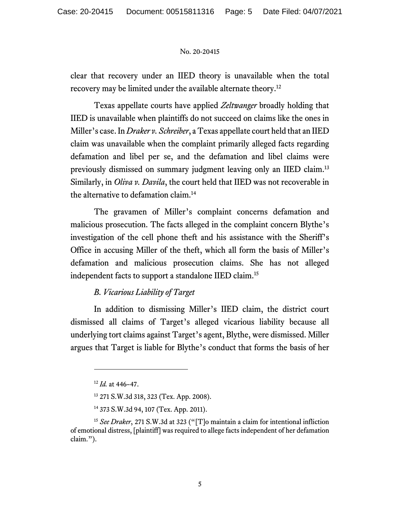clear that recovery under an IIED theory is unavailable when the total recovery may be limited under the available alternate theory.12

Texas appellate courts have applied *Zeltwanger* broadly holding that IIED is unavailable when plaintiffs do not succeed on claims like the ones in Miller's case. In *Draker v. Schreiber*, a Texas appellate court held that an IIED claim was unavailable when the complaint primarily alleged facts regarding defamation and libel per se, and the defamation and libel claims were previously dismissed on summary judgment leaving only an IIED claim.13 Similarly, in *Oliva v. Davila*, the court held that IIED was not recoverable in the alternative to defamation claim.14

The gravamen of Miller's complaint concerns defamation and malicious prosecution. The facts alleged in the complaint concern Blythe's investigation of the cell phone theft and his assistance with the Sheriff's Office in accusing Miller of the theft, which all form the basis of Miller's defamation and malicious prosecution claims. She has not alleged independent facts to support a standalone IIED claim.15

## *B. Vicarious Liability of Target*

In addition to dismissing Miller's IIED claim, the district court dismissed all claims of Target's alleged vicarious liability because all underlying tort claims against Target's agent, Blythe, were dismissed. Miller argues that Target is liable for Blythe's conduct that forms the basis of her

<sup>12</sup> *Id.* at 446–47.

<sup>13 271</sup> S.W.3d 318, 323 (Tex. App. 2008).

<sup>14 373</sup> S.W.3d 94, 107 (Tex. App. 2011).

<sup>&</sup>lt;sup>15</sup> See Draker, 271 S.W.3d at 323 ("[T]o maintain a claim for intentional infliction of emotional distress, [plaintiff] was required to allege facts independent of her defamation claim.").